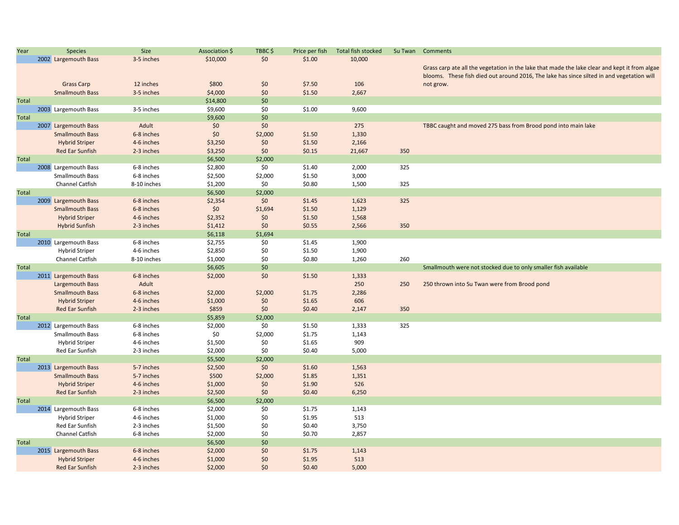| Year         | <b>Species</b>         | Size        | Association \$ | TBBC\$  | Price per fish | Total fish stocked | Su Twan | Comments                                                                                      |
|--------------|------------------------|-------------|----------------|---------|----------------|--------------------|---------|-----------------------------------------------------------------------------------------------|
|              | 2002 Largemouth Bass   | 3-5 inches  | \$10,000       | \$0     | \$1.00         | 10,000             |         |                                                                                               |
|              |                        |             |                |         |                |                    |         | Grass carp ate all the vegetation in the lake that made the lake clear and kept it from algae |
|              |                        |             |                |         |                |                    |         | blooms. These fish died out around 2016, The lake has since silted in and vegetation will     |
|              | <b>Grass Carp</b>      | 12 inches   | \$800          | \$0     | \$7.50         | 106                |         | not grow.                                                                                     |
|              | <b>Smallmouth Bass</b> | 3-5 inches  | \$4,000        | \$0     | \$1.50         | 2,667              |         |                                                                                               |
| Total        |                        |             | \$14,800       | \$0     |                |                    |         |                                                                                               |
|              | 2003 Largemouth Bass   | 3-5 inches  | \$9,600        | \$0     | \$1.00         | 9,600              |         |                                                                                               |
| Total        |                        |             | \$9,600        | \$0     |                |                    |         |                                                                                               |
|              | 2007 Largemouth Bass   | Adult       | \$0            | \$0     |                | 275                |         | TBBC caught and moved 275 bass from Brood pond into main lake                                 |
|              | <b>Smallmouth Bass</b> | 6-8 inches  | \$0            | \$2,000 | \$1.50         | 1,330              |         |                                                                                               |
|              | <b>Hybrid Striper</b>  | 4-6 inches  | \$3,250        | \$0     | \$1.50         | 2,166              |         |                                                                                               |
|              | <b>Red Ear Sunfish</b> | 2-3 inches  | \$3,250        | \$0     | \$0.15         | 21,667             | 350     |                                                                                               |
| <b>Total</b> |                        |             | \$6,500        | \$2,000 |                |                    |         |                                                                                               |
|              | 2008 Largemouth Bass   | 6-8 inches  | \$2,800        | \$0     | \$1.40         | 2,000              | 325     |                                                                                               |
|              | Smallmouth Bass        | 6-8 inches  | \$2,500        | \$2,000 | \$1.50         | 3,000              |         |                                                                                               |
|              | <b>Channel Catfish</b> | 8-10 inches | \$1,200        | \$0     | \$0.80         | 1,500              | 325     |                                                                                               |
| <b>Total</b> |                        |             | \$6,500        | \$2,000 |                |                    |         |                                                                                               |
|              | 2009 Largemouth Bass   | 6-8 inches  | \$2,354        | \$0     | \$1.45         | 1,623              | 325     |                                                                                               |
|              | <b>Smallmouth Bass</b> | 6-8 inches  | \$0            | \$1,694 | \$1.50         | 1,129              |         |                                                                                               |
|              | <b>Hybrid Striper</b>  | 4-6 inches  | \$2,352        | \$0     | \$1.50         | 1,568              |         |                                                                                               |
|              | <b>Hybrid Sunfish</b>  | 2-3 inches  | \$1,412        | \$0     | \$0.55         | 2,566              | 350     |                                                                                               |
| <b>Total</b> |                        |             | \$6,118        | \$1,694 |                |                    |         |                                                                                               |
|              | 2010 Largemouth Bass   | 6-8 inches  | \$2,755        | \$0     | \$1.45         | 1,900              |         |                                                                                               |
|              | <b>Hybrid Striper</b>  | 4-6 inches  | \$2,850        | \$0     | \$1.50         | 1,900              |         |                                                                                               |
|              | Channel Catfish        | 8-10 inches | \$1,000        | \$0     | \$0.80         | 1,260              | 260     |                                                                                               |
| Total        |                        |             | \$6,605        | \$0     |                |                    |         | Smallmouth were not stocked due to only smaller fish available                                |
|              | 2011 Largemouth Bass   | 6-8 inches  |                | \$0     | \$1.50         |                    |         |                                                                                               |
|              |                        | Adult       | \$2,000        |         |                | 1,333<br>250       | 250     |                                                                                               |
|              | Largemouth Bass        |             |                |         |                |                    |         | 250 thrown into Su Twan were from Brood pond                                                  |
|              | <b>Smallmouth Bass</b> | 6-8 inches  | \$2,000        | \$2,000 | \$1.75         | 2,286              |         |                                                                                               |
|              | <b>Hybrid Striper</b>  | 4-6 inches  | \$1,000        | \$0     | \$1.65         | 606                |         |                                                                                               |
|              | Red Ear Sunfish        | 2-3 inches  | \$859          | \$0     | \$0.40         | 2,147              | 350     |                                                                                               |
| Total        |                        |             | \$5,859        | \$2,000 |                |                    |         |                                                                                               |
|              | 2012 Largemouth Bass   | 6-8 inches  | \$2,000        | \$0     | \$1.50         | 1,333              | 325     |                                                                                               |
|              | <b>Smallmouth Bass</b> | 6-8 inches  | \$0            | \$2,000 | \$1.75         | 1,143              |         |                                                                                               |
|              | <b>Hybrid Striper</b>  | 4-6 inches  | \$1,500        | \$0     | \$1.65         | 909                |         |                                                                                               |
|              | Red Ear Sunfish        | 2-3 inches  | \$2,000        | \$0     | \$0.40         | 5,000              |         |                                                                                               |
| <b>Total</b> |                        |             | \$5,500        | \$2,000 |                |                    |         |                                                                                               |
|              | 2013 Largemouth Bass   | 5-7 inches  | \$2,500        | \$0     | \$1.60         | 1,563              |         |                                                                                               |
|              | <b>Smallmouth Bass</b> | 5-7 inches  | \$500          | \$2,000 | \$1.85         | 1,351              |         |                                                                                               |
|              | <b>Hybrid Striper</b>  | 4-6 inches  | \$1,000        | \$0     | \$1.90         | 526                |         |                                                                                               |
|              | Red Ear Sunfish        | 2-3 inches  | \$2,500        | \$0     | \$0.40         | 6,250              |         |                                                                                               |
| Total        |                        |             | \$6,500        | \$2,000 |                |                    |         |                                                                                               |
|              | 2014 Largemouth Bass   | 6-8 inches  | \$2,000        | \$0     | \$1.75         | 1,143              |         |                                                                                               |
|              | <b>Hybrid Striper</b>  | 4-6 inches  | \$1,000        | \$0     | \$1.95         | 513                |         |                                                                                               |
|              | Red Ear Sunfish        | 2-3 inches  | \$1,500        | \$0     | \$0.40         | 3,750              |         |                                                                                               |
|              | Channel Catfish        | 6-8 inches  | \$2,000        | \$0     | \$0.70         | 2,857              |         |                                                                                               |
| <b>Total</b> |                        |             | \$6,500        | \$0     |                |                    |         |                                                                                               |
|              | 2015 Largemouth Bass   | 6-8 inches  | \$2,000        | \$0     | \$1.75         | 1,143              |         |                                                                                               |
|              | <b>Hybrid Striper</b>  | 4-6 inches  | \$1,000        | \$0     | \$1.95         | 513                |         |                                                                                               |
|              | <b>Red Ear Sunfish</b> | 2-3 inches  | \$2,000        | \$0     | \$0.40         | 5,000              |         |                                                                                               |